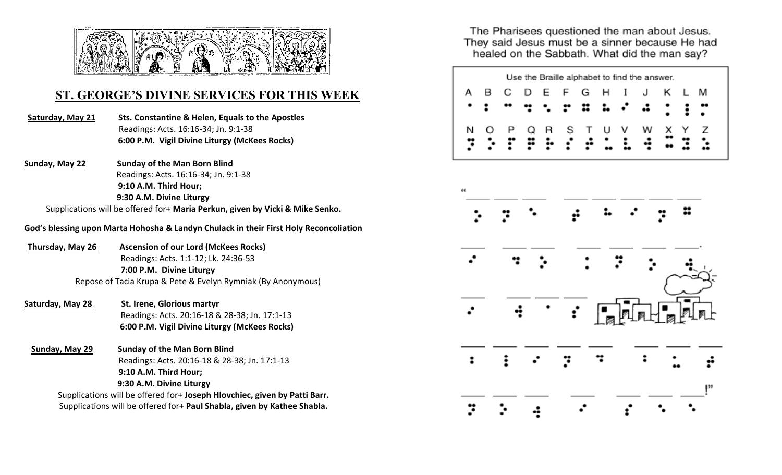

## **ST. GEORGE'S DIVINE SERVICES FOR THIS WEEK**

- **Saturday, May 21 Sts. Constantine & Helen, Equals to the Apostles** Readings: Acts. 16:16-34; Jn. 9:1-38 **6:00 P.M. Vigil Divine Liturgy (McKees Rocks)**
- **Sunday, May 22 Sunday of the Man Born Blind** Readings: Acts. 16:16-34; Jn. 9:1-38  **9:10 A.M. Third Hour; 9:30 A.M. Divine Liturgy**

Supplications will be offered for+ **Maria Perkun, given by Vicki & Mike Senko.** 

**God's blessing upon Marta Hohosha & Landyn Chulack in their First Holy Reconcoliation**

- **Thursday, May 26 Ascension of our Lord (McKees Rocks)** Readings: Acts. 1:1-12; Lk. 24:36-53 **7:00 P.M. Divine Liturgy** Repose of Tacia Krupa & Pete & Evelyn Rymniak (By Anonymous)
- Saturday, May 28 St. Irene, Glorious martyr Readings: Acts. 20:16-18 & 28-38; Jn. 17:1-13  **6:00 P.M. Vigil Divine Liturgy (McKees Rocks)**
- **Sunday, May 29 Sunday of the Man Born Blind** Readings: Acts. 20:16-18 & 28-38; Jn. 17:1-13 **9:10 A.M. Third Hour; 9:30 A.M. Divine Liturgy** Supplications will be offered for+ **Joseph Hlovchiec, given by Patti Barr.**  Supplications will be offered for+ **Paul Shabla, given by Kathee Shabla.**

The Pharisees questioned the man about Jesus. They said Jesus must be a sinner because He had healed on the Sabbath. What did the man say?

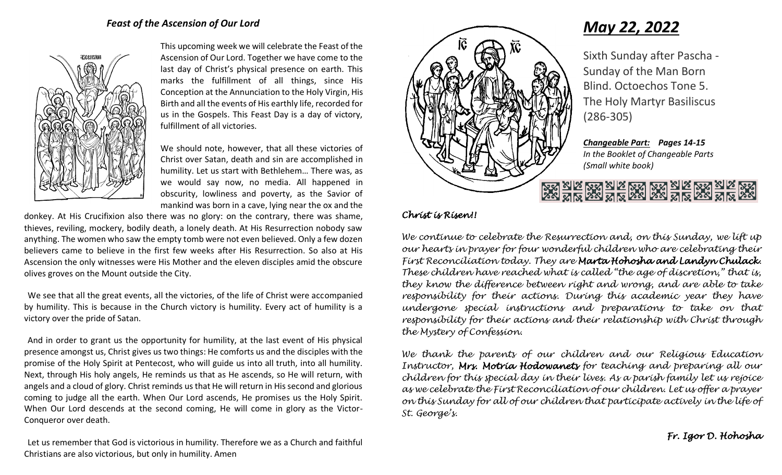

This upcoming week we will celebrate the Feast of the Ascension of Our Lord. Together we have come to the last day of Christ's physical presence on earth. This marks the fulfillment of all things, since His Conception at the Annunciation to the Holy Virgin, His Birth and all the events of His earthly life, recorded for us in the Gospels. This Feast Day is a day of victory, fulfillment of all victories.

We should note, however, that all these victories of Christ over Satan, death and sin are accomplished in humility. Let us start with Bethlehem… There was, as we would say now, no media. All happened in obscurity, lowliness and poverty, as the Savior of mankind was born in a cave, lying near the ox and the

donkey. At His Crucifixion also there was no glory: on the contrary, there was shame, thieves, reviling, mockery, bodily death, a lonely death. At His Resurrection nobody saw anything. The women who saw the empty tomb were not even believed. Only a few dozen believers came to believe in the first few weeks after His Resurrection. So also at His Ascension the only witnesses were His Mother and the eleven disciples amid the obscure olives groves on the Mount outside the City.

We see that all the great events, all the victories, of the life of Christ were accompanied by humility. This is because in the Church victory is humility. Every act of humility is a victory over the pride of Satan.

And in order to grant us the opportunity for humility, at the last event of His physical presence amongst us, Christ gives us two things: He comforts us and the disciples with the promise of the Holy Spirit at Pentecost, who will guide us into all truth, into all humility. Next, through His holy angels, He reminds us that as He ascends, so He will return, with angels and a cloud of glory. Christ reminds us that He will return in His second and glorious coming to judge all the earth. When Our Lord ascends, He promises us the Holy Spirit. When Our Lord descends at the second coming, He will come in glory as the Victor-Conqueror over death.



# *May 22, 2022*

Sixth Sunday after Pascha - Sunday of the Man Born Blind. Octoechos Tone 5. The Holy Martyr Basiliscus (286-305)

*Changeable Part: Pages 14-15 In the Booklet of Changeable Parts (Small white book)*

# <u>na sus wa sus wa wa sus wa sus wa sus</u><br>Dan sus wa sus wa wa sus wa sus wa

## *Christ is Risen!!*

*We continue to celebrate the Resurrection and, on this Sunday, we lift up our hearts in prayer for four wonderful children who are celebrating their First Reconciliation today. They are Marta Hohosha and Landyn Chulack. These children have reached what is called "the age of discretion," that is, they know the difference between right and wrong, and are able to take responsibility for their actions. During this academic year they have undergone special instructions and preparations to take on that responsibility for their actions and their relationship with Christ through the Mystery of Confession.* 

*We thank the parents of our children and our Religious Education Instructor, Mrs. Motria Hodowanets for teaching and preparing all our children for this special day in their lives. As a parish family let us rejoice as we celebrate the First Reconciliation of our children. Let us offer a prayer on this Sunday for all of our children that participate actively in the life of St. George's.*